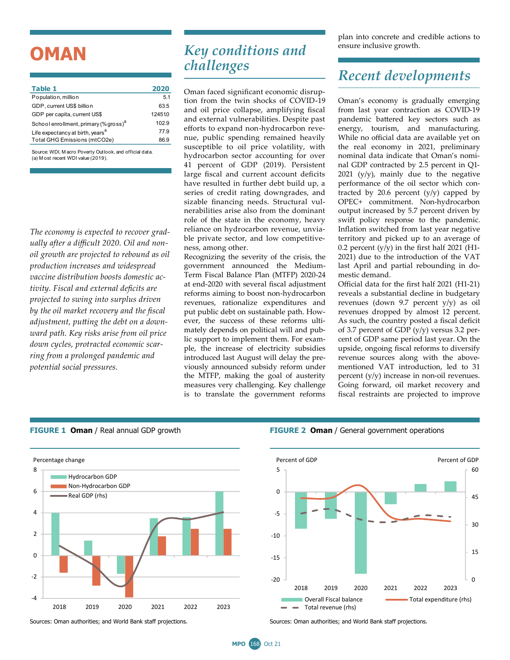# **OMAN**

| Table 1                                           | 2020   |
|---------------------------------------------------|--------|
| Population, million                               | 5.1    |
| GDP, current US\$ billion                         | 63.5   |
| GDP per capita, current US\$                      | 124510 |
| School enrollment, primary (% gross) <sup>a</sup> | 102.9  |
| Life expectancy at birth, years <sup>a</sup>      | 77.9   |
| Total GHG Emissions (mtCO2e)                      | 86.9   |
|                                                   |        |

Source: WDI, M acro Poverty Outlook, and official data. (a) M ost recent WDI value (2019).

*The economy is expected to recover gradually after a difficult 2020. Oil and nonoil growth are projected to rebound as oil production increases and widespread vaccine distribution boosts domestic activity. Fiscal and external deficits are projected to swing into surplus driven by the oil market recovery and the fiscal adjustment, putting the debt on a downward path. Key risks arise from oil price down cycles, protracted economic scarring from a prolonged pandemic and potential social pressures.* 

#### *Key conditions and challenges*

Oman faced significant economic disruption from the twin shocks of COVID-19 and oil price collapse, amplifying fiscal and external vulnerabilities. Despite past efforts to expand non-hydrocarbon revenue, public spending remained heavily susceptible to oil price volatility, with hydrocarbon sector accounting for over 41 percent of GDP (2019). Persistent large fiscal and current account deficits have resulted in further debt build up, a series of credit rating downgrades, and sizable financing needs. Structural vulnerabilities arise also from the dominant role of the state in the economy, heavy reliance on hydrocarbon revenue, unviable private sector, and low competitiveness, among other.

Recognizing the severity of the crisis, the government announced the Medium-Term Fiscal Balance Plan (MTFP) 2020-24 at end-2020 with several fiscal adjustment reforms aiming to boost non-hydrocarbon revenues, rationalize expenditures and put public debt on sustainable path. However, the success of these reforms ultimately depends on political will and public support to implement them. For example, the increase of electricity subsidies introduced last August will delay the previously announced subsidy reform under the MTFP, making the goal of austerity measures very challenging. Key challenge is to translate the government reforms

plan into concrete and credible actions to ensure inclusive growth.

### *Recent developments*

Oman's economy is gradually emerging from last year contraction as COVID-19 pandemic battered key sectors such as energy, tourism, and manufacturing. While no official data are available yet on the real economy in 2021, preliminary nominal data indicate that Oman's nominal GDP contracted by 2.5 percent in Q1-  $2021$  (y/y), mainly due to the negative performance of the oil sector which contracted by 20.6 percent (y/y) capped by OPEC+ commitment. Non-hydrocarbon output increased by 5.7 percent driven by swift policy response to the pandemic. Inflation switched from last year negative territory and picked up to an average of 0.2 percent  $(y/y)$  in the first half 2021 (H1-2021) due to the introduction of the VAT last April and partial rebounding in domestic demand.

Official data for the first half 2021 (H1-21) reveals a substantial decline in budgetary revenues (down 9.7 percent y/y) as oil revenues dropped by almost 12 percent. As such, the country posted a fiscal deficit of 3.7 percent of GDP (y/y) versus 3.2 percent of GDP same period last year. On the upside, ongoing fiscal reforms to diversify revenue sources along with the abovementioned VAT introduction, led to 31 percent (y/y) increase in non-oil revenues. Going forward, oil market recovery and fiscal restraints are projected to improve



**FIGURE 1 Oman** / Real annual GDP growth **FIGURE 2 Oman** / General government operations



Sources: Oman authorities; and World Bank staff projections. Sources: Oman authorities; and World Bank staff projections.